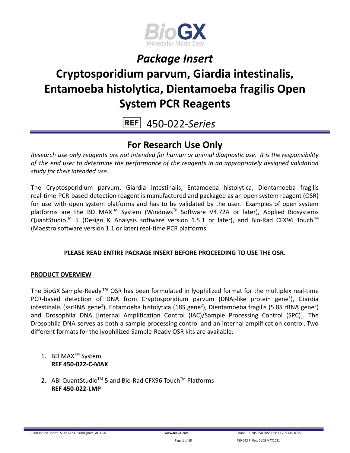

# **Cryptosporidium parvum, Giardia intestinalis, Entamoeba histolytica, Dientamoeba fragilis Open System PCR Reagents**

450-022-*Series* **REF** 

### **For Research Use Only**

*Research use only reagents are not intended for human or animal diagnostic use. It is the responsibility of the end user to determine the performance of the reagents in an appropriately designed validation study for their intended use.*

The Cryptosporidium parvum, Giardia intestinalis, Entamoeba histolytica, Dientamoeba fragilis real-time PCR-based detection reagent is manufactured and packaged as an open system reagent (OSR) for use with open system platforms and has to be validated by the user. Examples of open system platforms are the BD MAX<sup>TM</sup> System (Windows<sup>®</sup> Software V4.72A or later), Applied Biosystems QuantStudio<sup>™</sup> 5 (Design & Analysis software version 1.5.1 or later), and Bio-Rad CFX96 Touch<sup>™</sup> (Maestro software version 1.1 or later) real-time PCR platforms.

#### **PLEASE READ ENTIRE PACKAGE INSERT BEFORE PROCEEDING TO USE THE OSR.**

#### **PRODUCT OVERVIEW**

The BioGX Sample-Ready™ OSR has been formulated in lyophilized format for the multiplex real-time PCR-based detection of DNA from Cryptosporidium parvum (DNAj-like protein gene<sup>1</sup>), Giardia intestinalis (ssrRNA gene<sup>2</sup>), Entamoeba histolytica (18S gene<sup>2</sup>), Dientamoeba fragilis (5.8S rRNA gene<sup>3</sup>) and Drosophila DNA [Internal Amplification Control (IAC)/Sample Processing Control (SPC)]. The Drosophila DNA serves as both a sample processing control and an internal amplification control. Two different formats for the lyophilized Sample-Ready OSR kits are available:

- 1. BD MAX<sup>™</sup> System **REF 450-022-C-MAX**
- 2. ABI QuantStudio<sup>™</sup> 5 and Bio-Rad CFX96 Touch™ Platforms **REF 450-022-LMP**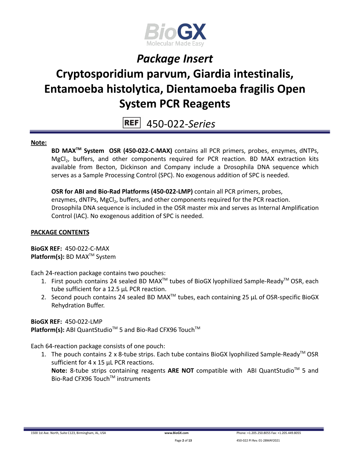

# **Cryptosporidium parvum, Giardia intestinalis, Entamoeba histolytica, Dientamoeba fragilis Open System PCR Reagents**

450-022-*Series* **REF** 

#### **Note:**

**BD MAXTM System OSR (450-022-C-MAX)** contains all PCR primers, probes, enzymes, dNTPs, MgCl<sub>2</sub>, buffers, and other components required for PCR reaction. BD MAX extraction kits available from Becton, Dickinson and Company include a Drosophila DNA sequence which serves as a Sample Processing Control (SPC). No exogenous addition of SPC is needed.

**OSR for ABI and Bio-Rad Platforms (450-022-LMP)** contain all PCR primers, probes, enzymes, dNTPs, MgCl<sub>2</sub>, buffers, and other components required for the PCR reaction. Drosophila DNA sequence is included in the OSR master mix and serves as Internal Amplification Control (IAC). No exogenous addition of SPC is needed.

#### **PACKAGE CONTENTS**

**BioGX REF:** 450-022-C-MAX **Platform(s):** BD MAX<sup>™</sup> System

Each 24-reaction package contains two pouches:

- 1. First pouch contains 24 sealed BD MAX<sup>™</sup> tubes of BioGX lyophilized Sample-Ready<sup>™</sup> OSR, each tube sufficient for a 12.5 µL PCR reaction.
- 2. Second pouch contains 24 sealed BD MAX<sup>™</sup> tubes, each containing 25  $\mu$ L of OSR-specific BioGX Rehydration Buffer.

**BioGX REF:** 450-022-LMP

Platform(s): ABI QuantStudio<sup>™</sup> 5 and Bio-Rad CFX96 Touch<sup>™</sup>

Each 64-reaction package consists of one pouch:

1. The pouch contains 2 x 8-tube strips. Each tube contains BioGX lyophilized Sample-Ready<sup>™</sup> OSR sufficient for 4 x 15 µL PCR reactions. Note: 8-tube strips containing reagents ARE NOT compatible with ABI QuantStudio<sup>™</sup> 5 and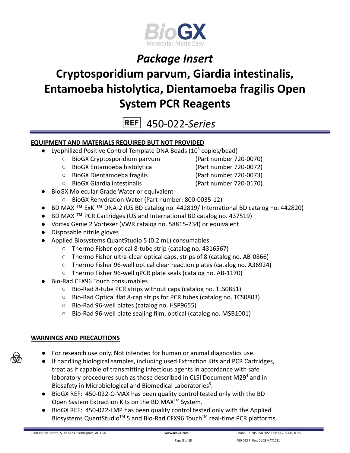

# **Cryptosporidium parvum, Giardia intestinalis, Entamoeba histolytica, Dientamoeba fragilis Open System PCR Reagents**

**REF** 450-022-*Series*

#### **EQUIPMENT AND MATERIALS REQUIRED BUT NOT PROVIDED**

- Lyophilized Positive Control Template DNA Beads  $(10^5 \text{ copies/head})$ 
	- BioGX Cryptosporidium parvum (Part number 720-0070)
	- BioGX Entamoeba histolytica (Part number 720-0072)
	- BioGX Dientamoeba fragilis (Part number 720-0073)
	- BioGX Giardia intestinalis (Part number 720-0170)
- BioGX Molecular Grade Water or equivalent
	- BioGX Rehydration Water (Part number: 800-0035-12)
- BD MAX ™ ExK ™ DNA-2 (US BD catalog no. 442819/ International BD catalog no. 442820)
- BD MAX ™ PCR Cartridges (US and International BD catalog no. 437519)
- Vortex Genie 2 Vortexer (VWR catalog no. 58815-234) or equivalent
- Disposable nitrile gloves
- Applied Biosystems QuantStudio 5 (0.2 mL) consumables
	- Thermo Fisher optical 8-tube strip (catalog no. 4316567)
	- Thermo Fisher ultra-clear optical caps, strips of 8 (catalog no. AB-0866)
	- Thermo Fisher 96-well optical clear reaction plates (catalog no. A36924)
	- Thermo Fisher 96-well qPCR plate seals (catalog no. AB-1170)
- Bio-Rad CFX96 Touch consumables
	- Bio-Rad 8-tube PCR strips without caps (catalog no. TLS0851)
	- Bio-Rad Optical flat 8-cap strips for PCR tubes (catalog no. TCS0803)
	- Bio-Rad 96-well plates (catalog no. HSP9655)
	- Bio-Rad 96-well plate sealing film, optical (catalog no. MSB1001)

#### **WARNINGS AND PRECAUTIONS**

- For research use only. Not intended for human or animal diagnostics use.
- If handling biological samples, including used Extraction Kits and PCR Cartridges, treat as if capable of transmitting infectious agents in accordance with safe laboratory procedures such as those described in CLSI Document M29 $4$  and in Biosafety in Microbiological and Biomedical Laboratories<sup>5</sup>.
- BioGX REF: 450-022-C-MAX has been quality control tested only with the BD Open System Extraction Kits on the BD MAX<sup>™</sup> System.
- BioGX REF: 450-022-LMP has been quality control tested only with the Applied Biosystems QuantStudio<sup>™</sup> 5 and Bio-Rad CFX96 Touch<sup>™</sup> real-time PCR platforms.

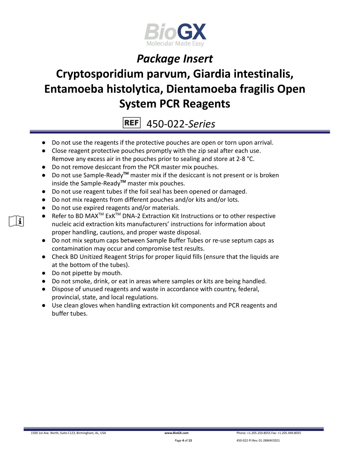

# **Cryptosporidium parvum, Giardia intestinalis, Entamoeba histolytica, Dientamoeba fragilis Open System PCR Reagents**

**REF** 450-022-*Series*

- Do not use the reagents if the protective pouches are open or torn upon arrival.
- Close reagent protective pouches promptly with the zip seal after each use. Remove any excess air in the pouches prior to sealing and store at 2-8 °C.
- Do not remove desiccant from the PCR master mix pouches.
- Do not use Sample-Ready**TM** master mix if the desiccant is not present or is broken inside the Sample-Ready**TM** master mix pouches.
- Do not use reagent tubes if the foil seal has been opened or damaged.
- Do not mix reagents from different pouches and/or kits and/or lots.
- Do not use expired reagents and/or materials.
- Refer to BD MAX<sup>™</sup> ExK<sup>™</sup> DNA-2 Extraction Kit Instructions or to other respective nucleic acid extraction kits manufacturers' instructions for information about proper handling, cautions, and proper waste disposal.
- Do not mix septum caps between Sample Buffer Tubes or re-use septum caps as contamination may occur and compromise test results.
- Check BD Unitized Reagent Strips for proper liquid fills (ensure that the liquids are at the bottom of the tubes).
- Do not pipette by mouth.
- Do not smoke, drink, or eat in areas where samples or kits are being handled.
- Dispose of unused reagents and waste in accordance with country, federal, provincial, state, and local regulations.
- Use clean gloves when handling extraction kit components and PCR reagents and buffer tubes.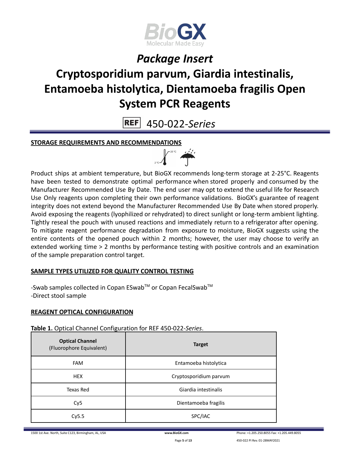

# **Cryptosporidium parvum, Giardia intestinalis, Entamoeba histolytica, Dientamoeba fragilis Open System PCR Reagents**

**REF** 450-022-*Series*

#### **STORAGE REQUIREMENTS AND RECOMMENDATIONS**



Product ships at ambient temperature, but BioGX recommends long-term storage at 2-25°C. Reagents have been tested to demonstrate optimal performance when stored properly and consumed by the Manufacturer Recommended Use By Date. The end user may opt to extend the useful life for Research Use Only reagents upon completing their own performance validations. BioGX's guarantee of reagent integrity does not extend beyond the Manufacturer Recommended Use By Date when stored properly. Avoid exposing the reagents (lyophilized or rehydrated) to direct sunlight or long-term ambient lighting. Tightly reseal the pouch with unused reactions and immediately return to a refrigerator after opening. To mitigate reagent performance degradation from exposure to moisture, BioGX suggests using the entire contents of the opened pouch within 2 months; however, the user may choose to verify an extended working time > 2 months by performance testing with positive controls and an examination of the sample preparation control target.

#### **SAMPLE TYPES UTILIZED FOR QUALITY CONTROL TESTING**

-Swab samples collected in Copan ESwab<sup>TM</sup> or Copan FecalSwab<sup>TM</sup> -Direct stool sample

#### **REAGENT OPTICAL CONFIGURATION**

**Table 1.** Optical Channel Configuration for REF 450-022-*Series*.

| <b>Optical Channel</b><br>(Fluorophore Equivalent) | <b>Target</b>          |  |
|----------------------------------------------------|------------------------|--|
| <b>FAM</b>                                         | Entamoeba histolytica  |  |
| <b>HEX</b>                                         | Cryptosporidium parvum |  |
| Texas Red                                          | Giardia intestinalis   |  |
| Cy <sub>5</sub>                                    | Dientamoeba fragilis   |  |
| Cy5.5                                              | SPC/IAC                |  |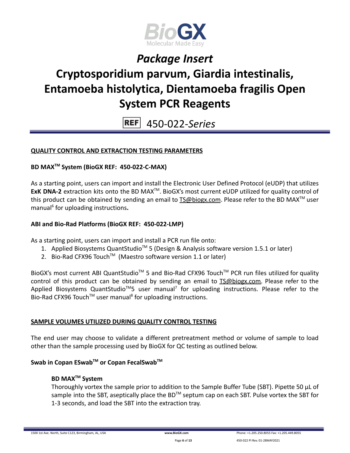

# **Cryptosporidium parvum, Giardia intestinalis, Entamoeba histolytica, Dientamoeba fragilis Open System PCR Reagents**

450-022-*Series* **REF** 

#### **QUALITY CONTROL AND EXTRACTION TESTING PARAMETERS**

#### **BD MAXTM System (BioGX REF: 450-022-C-MAX)**

As a starting point, users can import and install the Electronic User Defined Protocol (eUDP) that utilizes ExK DNA-2 extraction kits onto the BD MAX<sup>™</sup>. BioGX's most current eUDP utilized for quality control of this product can be obtained by sending an email to **[TS@biogx.com](mailto:TS@biogx.com). Please refer to the BD MAX<sup>™</sup> user** manual<sup>6</sup> for uploading instructions**.**

#### **ABI and Bio-Rad Platforms (BioGX REF: 450-022-LMP)**

As a starting point, users can import and install a PCR run file onto:

- 1. Applied Biosystems QuantStudio<sup>™</sup> 5 (Design & Analysis software version 1.5.1 or later)
- 2. Bio-Rad CFX96 Touch<sup>™</sup> (Maestro software version 1.1 or later)

BioGX's most current ABI QuantStudio<sup>™</sup> 5 and Bio-Rad CFX96 Touch<sup>™</sup> PCR run files utilized for quality control of this product can be obtained by sending an email to [TS@biogx.com.](mailto:TS@biogx.com) Please refer to the Applied Biosystems QuantStudio<sup>™</sup>5 user manual<sup>7</sup> for uploading instructions. Please refer to the Bio-Rad CFX96 Touch<sup>™</sup> user manual<sup>8</sup> for uploading instructions.

#### **SAMPLE VOLUMES UTILIZED DURING QUALITY CONTROL TESTING**

The end user may choose to validate a different pretreatment method or volume of sample to load other than the sample processing used by BioGX for QC testing as outlined below.

### **Swab in Copan ESwabTM or Copan FecalSwabTM**

#### **BD MAXTM System**

Thoroughly vortex the sample prior to addition to the Sample Buffer Tube (SBT). Pipette 50 μL of sample into the SBT, aseptically place the BD<sup>™</sup> septum cap on each SBT. Pulse vortex the SBT for 1-3 seconds, and load the SBT into the extraction tray.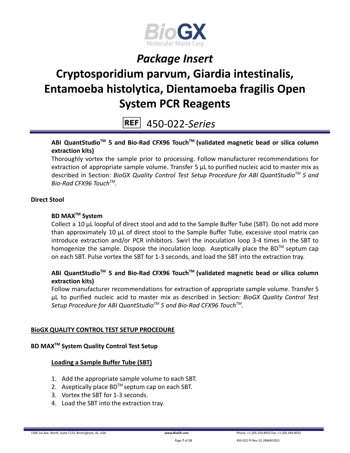

# **Cryptosporidium parvum, Giardia intestinalis, Entamoeba histolytica, Dientamoeba fragilis Open System PCR Reagents**

450-022-*Series* **REF** 

#### **ABI QuantStudioTM 5 and Bio-Rad CFX96 TouchTM (validated magnetic bead or silica column extraction kits)**

Thoroughly vortex the sample prior to processing. Follow manufacturer recommendations for extraction of appropriate sample volume. Transfer 5 μL to purified nucleic acid to master mix as described in Section: *BioGX Quality Control Test Setup Procedure for ABI QuantStudioTM 5 and Bio-Rad CFX96 TouchTM .*

#### **Direct Stool**

#### **BD MAXTM System**

Collect a 10 µL loopful of direct stool and add to the Sample Buffer Tube (SBT). Do not add more than approximately 10 µL of direct stool to the Sample Buffer Tube, excessive stool matrix can introduce extraction and/or PCR inhibitors. Swirl the inoculation loop 3-4 times in the SBT to homogenize the sample. Dispose the inoculation loop. Aseptically place the BD™ septum cap on each SBT. Pulse vortex the SBT for 1-3 seconds, and load the SBT into the extraction tray.

#### **ABI QuantStudioTM 5 and Bio-Rad CFX96 TouchTM (validated magnetic bead or silica column extraction kits)**

Follow manufacturer recommendations for extraction of appropriate sample volume. Transfer 5 μL to purified nucleic acid to master mix as described in Section: *BioGX Quality Control Test Setup Procedure for ABI QuantStudioTM 5 and Bio-Rad CFX96 TouchTM .*

#### **BioGX QUALITY CONTROL TEST SETUP PROCEDURE**

#### **BD MAXTM System Quality Control Test Setup**

#### **Loading a Sample Buffer Tube (SBT)**

- 1. Add the appropriate sample volume to each SBT.
- 2. Aseptically place  $BD^{TM}$  septum cap on each SBT.
- 3. Vortex the SBT for 1-3 seconds.
- 4. Load the SBT into the extraction tray.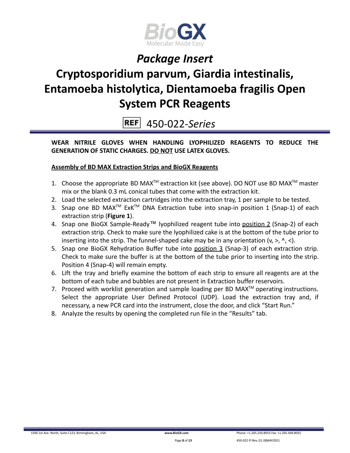

# **Cryptosporidium parvum, Giardia intestinalis, Entamoeba histolytica, Dientamoeba fragilis Open System PCR Reagents**

450-022-*Series* **REF** 

**WEAR NITRILE GLOVES WHEN HANDLING LYOPHILIZED REAGENTS TO REDUCE THE GENERATION OF STATIC CHARGES. DO NOT USE LATEX GLOVES.**

#### **Assembly of BD MAX Extraction Strips and BioGX Reagents**

- 1. Choose the appropriate BD MAX<sup>TM</sup> extraction kit (see above). DO NOT use BD MAX<sup>TM</sup> master mix or the blank 0.3 mL conical tubes that come with the extraction kit.
- 2. Load the selected extraction cartridges into the extraction tray, 1 per sample to be tested.
- 3. Snap one BD MAX<sup>™</sup> ExK<sup>™</sup> DNA Extraction tube into snap-in position 1 (Snap-1) of each extraction strip (**Figure 1**).
- 4. Snap one BioGX Sample-Ready™ lyophilized reagent tube into position 2 (Snap-2) of each extraction strip. Check to make sure the lyophilized cake is at the bottom of the tube prior to inserting into the strip. The funnel-shaped cake may be in any orientation  $(v, >, \land, <)$ .
- 5. Snap one BioGX Rehydration Buffer tube into position 3 (Snap-3) of each extraction strip. Check to make sure the buffer is at the bottom of the tube prior to inserting into the strip. Position 4 (Snap-4) will remain empty.
- 6. Lift the tray and briefly examine the bottom of each strip to ensure all reagents are at the bottom of each tube and bubbles are not present in Extraction buffer reservoirs.
- 7. Proceed with worklist generation and sample loading per BD MAX $^{TM}$  operating instructions. Select the appropriate User Defined Protocol (UDP). Load the extraction tray and, if necessary, a new PCR card into the instrument, close the door, and click "Start Run."
- 8. Analyze the results by opening the completed run file in the "Results" tab.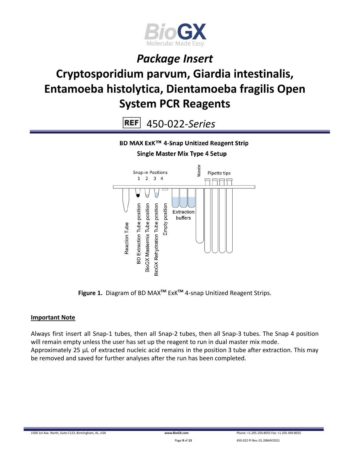

# **Cryptosporidium parvum, Giardia intestinalis, Entamoeba histolytica, Dientamoeba fragilis Open System PCR Reagents**

**REF** 450-022-*Series*

BD MAX ExK™ 4-Snap Unitized Reagent Strip

**Single Master Mix Type 4 Setup** 



**Figure 1.** Diagram of BD MAX**TM** ExK**TM** 4-snap Unitized Reagent Strips.

#### **Important Note**

Always first insert all Snap-1 tubes, then all Snap-2 tubes, then all Snap-3 tubes. The Snap 4 position will remain empty unless the user has set up the reagent to run in dual master mix mode. Approximately 25 µL of extracted nucleic acid remains in the position 3 tube after extraction. This may be removed and saved for further analyses after the run has been completed.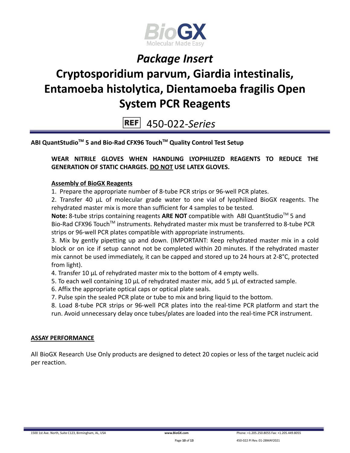

# **Cryptosporidium parvum, Giardia intestinalis, Entamoeba histolytica, Dientamoeba fragilis Open System PCR Reagents**

450-022-*Series* **REF** 

**ABI QuantStudioTM 5 and Bio-Rad CFX96 TouchTM Quality Control Test Setup**

**WEAR NITRILE GLOVES WHEN HANDLING LYOPHILIZED REAGENTS TO REDUCE THE GENERATION OF STATIC CHARGES. DO NOT USE LATEX GLOVES.**

#### **Assembly of BioGX Reagents**

1. Prepare the appropriate number of 8-tube PCR strips or 96-well PCR plates.

2. Transfer 40 μL of molecular grade water to one vial of lyophilized BioGX reagents. The rehydrated master mix is more than sufficient for 4 samples to be tested.

Note: 8-tube strips containing reagents ARE NOT compatible with ABI QuantStudio<sup>™</sup> 5 and Bio-Rad CFX96 Touch<sup>™</sup> instruments. Rehydrated master mix must be transferred to 8-tube PCR strips or 96-well PCR plates compatible with appropriate instruments.

3. Mix by gently pipetting up and down. (IMPORTANT: Keep rehydrated master mix in a cold block or on ice if setup cannot not be completed within 20 minutes. If the rehydrated master mix cannot be used immediately, it can be capped and stored up to 24 hours at 2-8°C, protected from light).

4. Transfer 10 μL of rehydrated master mix to the bottom of 4 empty wells.

- 5. To each well containing 10 μL of rehydrated master mix, add 5 μL of extracted sample.
- 6. Affix the appropriate optical caps or optical plate seals.
- 7. Pulse spin the sealed PCR plate or tube to mix and bring liquid to the bottom.

8. Load 8-tube PCR strips or 96-well PCR plates into the real-time PCR platform and start the run. Avoid unnecessary delay once tubes/plates are loaded into the real-time PCR instrument.

#### **ASSAY PERFORMANCE**

All BioGX Research Use Only products are designed to detect 20 copies or less of the target nucleic acid per reaction.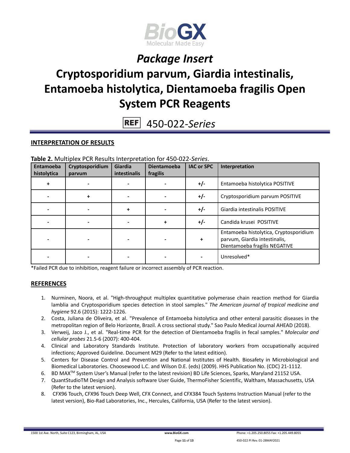

# **Cryptosporidium parvum, Giardia intestinalis, Entamoeba histolytica, Dientamoeba fragilis Open System PCR Reagents**

450-022-*Series* **REF** 

#### **INTERPRETATION OF RESULTS**

|  | Table 2. Multiplex PCR Results Interpretation for 450-022-Series. |
|--|-------------------------------------------------------------------|
|--|-------------------------------------------------------------------|

| Entamoeba<br>histolytica | Cryptosporidium<br>parvum | Giardia<br>intestinalis | <b>Dientamoeba</b><br>fragilis | <b>IAC or SPC</b> | Interpretation                                                                                           |
|--------------------------|---------------------------|-------------------------|--------------------------------|-------------------|----------------------------------------------------------------------------------------------------------|
| ÷                        |                           |                         |                                | $+/-$             | Entamoeba histolytica POSITIVE                                                                           |
|                          |                           |                         |                                | $+/-$             | Cryptosporidium parvum POSITIVE                                                                          |
|                          |                           |                         |                                | $+/-$             | Giardia intestinalis POSITIVE                                                                            |
|                          |                           |                         |                                | +/-               | Candida krusei POSITIVE                                                                                  |
|                          |                           |                         |                                | +                 | Entamoeba histolytica, Cryptosporidium<br>parvum, Giardia intestinalis,<br>Dientamoeba fragilis NEGATIVE |
|                          |                           |                         |                                |                   | Unresolved*                                                                                              |

\*Failed PCR due to inhibition, reagent failure or incorrect assembly of PCR reaction.

#### **REFERENCES**

- 1. Nurminen, Noora, et al. "High-throughput multiplex quantitative polymerase chain reaction method for Giardia lamblia and Cryptosporidium species detection in stool samples." *The American journal of tropical medicine and hygiene* 92.6 (2015): 1222-1226.
- 2. Costa, Juliana de Oliveira, et al. "Prevalence of Entamoeba histolytica and other enteral parasitic diseases in the metropolitan region of Belo Horizonte, Brazil. A cross sectional study." Sao Paulo Medical Journal AHEAD (2018).
- 3. Verweij, Jaco J., et al. "Real-time PCR for the detection of Dientamoeba fragilis in fecal samples." *Molecular and cellular probes* 21.5-6 (2007): 400-404.
- 4. Clinical and Laboratory Standards Institute. Protection of laboratory workers from occupationally acquired infections; Approved Guideline. Document M29 (Refer to the latest edition).
- 5. Centers for Disease Control and Prevention and National Institutes of Health. Biosafety in Microbiological and Biomedical Laboratories. Choosewood L.C. and Wilson D.E. (eds) (2009). HHS Publication No. (CDC) 21-1112.
- 6. BD MAX<sup>™</sup> System User's Manual (refer to the latest revision) BD Life Sciences, Sparks, Maryland 21152 USA.
- 7. QuantStudioTM Design and Analysis software User Guide, ThermoFisher Scientific, Waltham, Massachusetts, USA (Refer to the latest version).
- 8. CFX96 Touch, CFX96 Touch Deep Well, CFX Connect, and CFX384 Touch Systems Instruction Manual (refer to the latest version), Bio-Rad Laboratories, Inc., Hercules, California, USA (Refer to the latest version).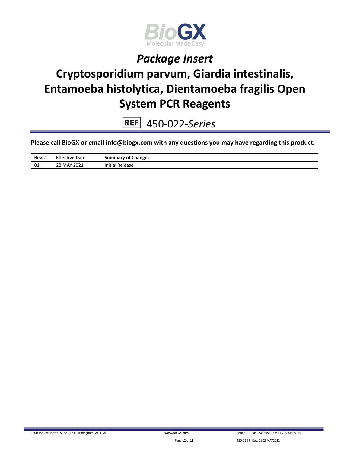

# **Cryptosporidium parvum, Giardia intestinalis, Entamoeba histolytica, Dientamoeba fragilis Open System PCR Reagents**

450-022-*Series*  $REF$ 

**Please call BioGX or email info@biogx.com with any questions you may have regarding this product.**

| Rev. # | <b>Effective Date</b> | <b>Summary of Changes</b> |
|--------|-----------------------|---------------------------|
| 01     | 28 MAY 2021           | Release.<br>Initial       |